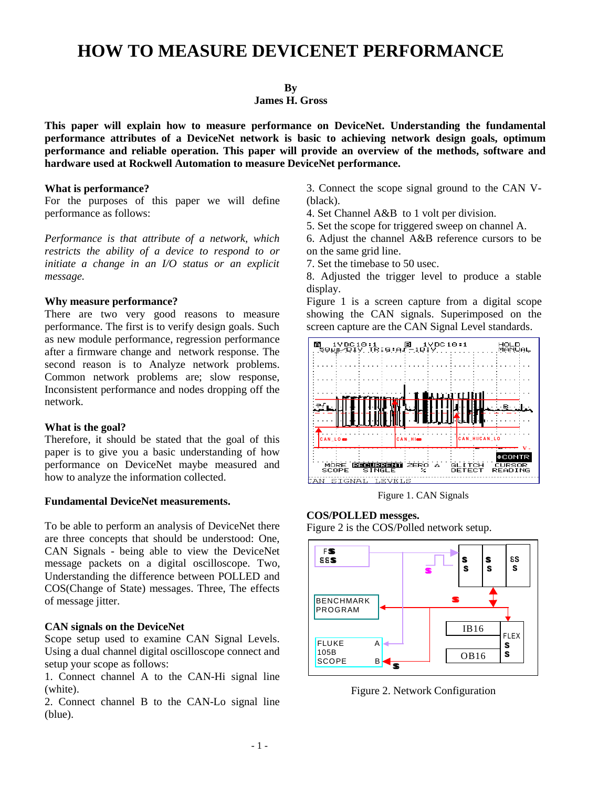# **HOW TO MEASURE DEVICENET PERFORMANCE**

# **By**

# **James H. Gross**

**This paper will explain how to measure performance on DeviceNet. Understanding the fundamental performance attributes of a DeviceNet network is basic to achieving network design goals, optimum performance and reliable operation. This paper will provide an overview of the methods, software and hardware used at Rockwell Automation to measure DeviceNet performance.**

#### **What is performance?**

For the purposes of this paper we will define performance as follows:

*Performance is that attribute of a network, which restricts the ability of a device to respond to or initiate a change in an I/O status or an explicit message.*

#### **Why measure performance?**

There are two very good reasons to measure performance. The first is to verify design goals. Such as new module performance, regression performance after a firmware change and network response. The second reason is to Analyze network problems. Common network problems are; slow response, Inconsistent performance and nodes dropping off the network.

# **What is the goal?**

Therefore, it should be stated that the goal of this paper is to give you a basic understanding of how performance on DeviceNet maybe measured and how to analyze the information collected.

#### **Fundamental DeviceNet measurements.**

To be able to perform an analysis of DeviceNet there are three concepts that should be understood: One, CAN Signals - being able to view the DeviceNet message packets on a digital oscilloscope. Two, Understanding the difference between POLLED and COS(Change of State) messages. Three, The effects of message jitter.

# **CAN signals on the DeviceNet**

Scope setup used to examine CAN Signal Levels. Using a dual channel digital oscilloscope connect and setup your scope as follows:

1. Connect channel A to the CAN-Hi signal line (white).

2. Connect channel B to the CAN-Lo signal line (blue).

3. Connect the scope signal ground to the CAN V- (black).

- 4. Set Channel A&B to 1 volt per division.
- 5. Set the scope for triggered sweep on channel A.

6. Adjust the channel A&B reference cursors to be on the same grid line.

7. Set the timebase to 50 usec.

8. Adjusted the trigger level to produce a stable display.

Figure 1 is a screen capture from a digital scope showing the CAN signals. Superimposed on the screen capture are the CAN Signal Level standards.



Figure 1. CAN Signals

# **COS/POLLED messges.**

Figure 2 is the COS/Polled network setup.



Figure 2. Network Configuration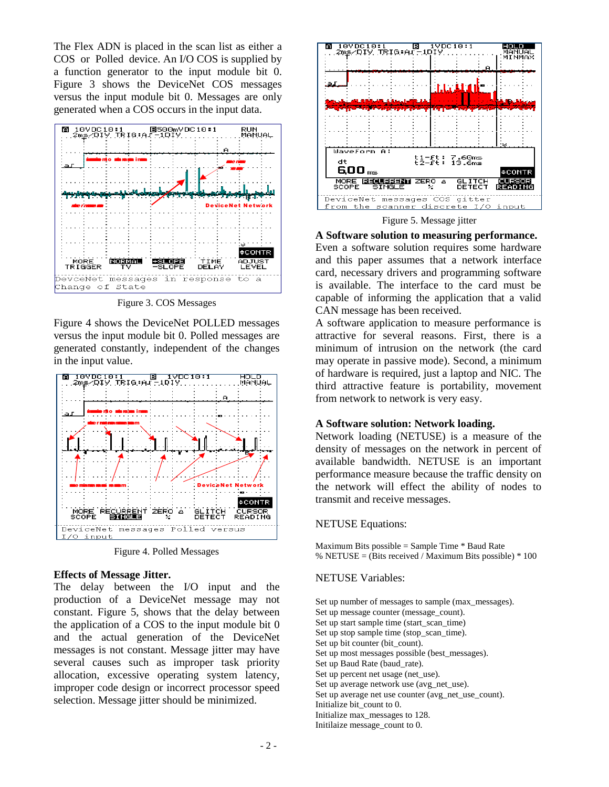The Flex ADN is placed in the scan list as either a COS or Polled device. An I/O COS is supplied by a function generator to the input module bit 0. Figure 3 shows the DeviceNet COS messages versus the input module bit 0. Messages are only generated when a COS occurs in the input data.



Figure 3. COS Messages

Figure 4 shows the DeviceNet POLLED messages versus the input module bit 0. Polled messages are generated constantly, independent of the changes in the input value.



Figure 4. Polled Messages

# **Effects of Message Jitter.**

The delay between the I/O input and the production of a DeviceNet message may not constant. Figure 5, shows that the delay between the application of a COS to the input module bit 0 and the actual generation of the DeviceNet messages is not constant. Message jitter may have several causes such as improper task priority allocation, excessive operating system latency, improper code design or incorrect processor speed selection. Message jitter should be minimized.



Figure 5. Message jitter

**A Software solution to measuring performance.** Even a software solution requires some hardware and this paper assumes that a network interface card, necessary drivers and programming software is available. The interface to the card must be capable of informing the application that a valid CAN message has been received.

A software application to measure performance is attractive for several reasons. First, there is a minimum of intrusion on the network (the card may operate in passive mode). Second, a minimum of hardware is required, just a laptop and NIC. The third attractive feature is portability, movement from network to network is very easy.

# **A Software solution: Network loading.**

Network loading (NETUSE) is a measure of the density of messages on the network in percent of available bandwidth. NETUSE is an important performance measure because the traffic density on the network will effect the ability of nodes to transmit and receive messages.

# NETUSE Equations:

Maximum Bits possible = Sample Time  $*$  Baud Rate % NETUSE = (Bits received / Maximum Bits possible)  $*100$ 

# NETUSE Variables:

Set up number of messages to sample (max\_messages). Set up message counter (message\_count). Set up start sample time (start\_scan\_time) Set up stop sample time (stop\_scan\_time). Set up bit counter (bit\_count). Set up most messages possible (best\_messages). Set up Baud Rate (baud\_rate). Set up percent net usage (net\_use). Set up average network use (avg\_net\_use). Set up average net use counter (avg\_net\_use\_count). Initialize bit\_count to 0. Initialize max\_messages to 128. Initilaize message\_count to 0.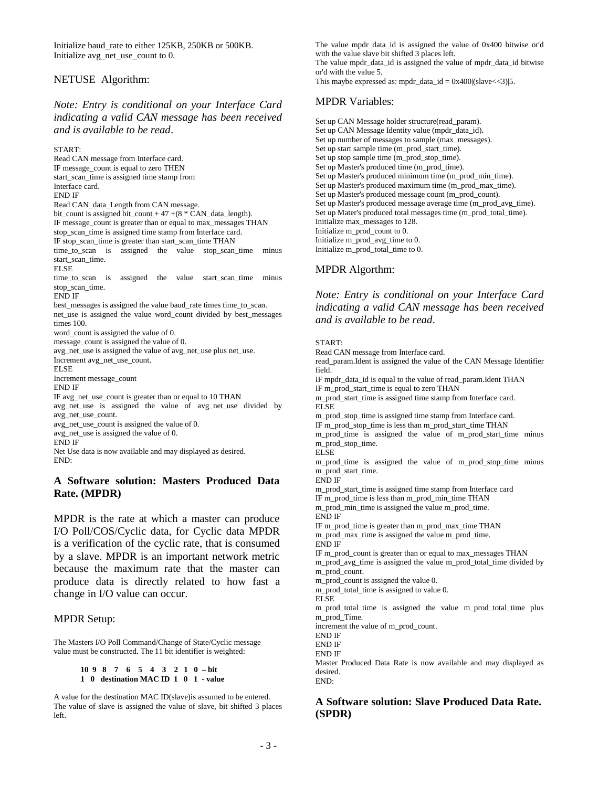Initialize baud\_rate to either 125KB, 250KB or 500KB. Initialize avg\_net\_use\_count to 0.

#### NETUSE Algorithm:

# *Note: Entry is conditional on your Interface Card indicating a valid CAN message has been received and is available to be read*.

START:

Read CAN message from Interface card. IF message\_count is equal to zero THEN start\_scan\_time is assigned time stamp from Interface card. END IF Read CAN\_data\_Length from CAN message. bit\_count is assigned bit\_count + 47 +( $8 * \text{CAN}\_\text{data}\_$ length). IF message\_count is greater than or equal to max\_messages THAN stop\_scan\_time is assigned time stamp from Interface card. IF stop\_scan\_time is greater than start\_scan\_time THAN time\_to\_scan is assigned the value stop\_scan\_time minus start\_scan\_time. ELSE time\_to\_scan is assigned the value start\_scan\_time minus stop\_scan\_time. END IF best\_messages is assigned the value baud\_rate times time\_to\_scan. net use is assigned the value word count divided by best messages times 100. word\_count is assigned the value of 0. message\_count is assigned the value of 0. avg\_net\_use is assigned the value of avg\_net\_use plus net\_use. Increment avg\_net\_use\_count. ELSE Increment message\_count END IF IF avg\_net\_use\_count is greater than or equal to 10 THAN avg\_net\_use is assigned the value of avg\_net\_use divided by avg\_net\_use\_count. avg\_net\_use\_count is assigned the value of 0. avg\_net\_use is assigned the value of 0. END IF Net Use data is now available and may displayed as desired. END:

# **A Software solution: Masters Produced Data Rate. (MPDR)**

MPDR is the rate at which a master can produce I/O Poll/COS/Cyclic data, for Cyclic data MPDR is a verification of the cyclic rate, that is consumed by a slave. MPDR is an important network metric because the maximum rate that the master can produce data is directly related to how fast a change in I/O value can occur.

# MPDR Setup:

The Masters I/O Poll Command/Change of State/Cyclic message value must be constructed. The 11 bit identifier is weighted:

```
10 9 8 7 6 5 4 3 2 1 0 – bit
1 0 destination MAC ID 1 0 1 - value
```
A value for the destination MAC ID(slave)is assumed to be entered. The value of slave is assigned the value of slave, bit shifted 3 places left.

The value mpdr\_data\_id is assigned the value of 0x400 bitwise or'd with the value slave bit shifted 3 places left. The value mpdr\_data\_id is assigned the value of mpdr\_data\_id bitwise or'd with the value 5. This maybe expressed as: mpdr\_data\_id =  $0x400$ |(slave < -3)|5.

# MPDR Variables:

Set up CAN Message holder structure(read\_param). Set up CAN Message Identity value (mpdr\_data\_id). Set up number of messages to sample (max\_messages). Set up start sample time (m\_prod\_start\_time). Set up stop sample time (m\_prod\_stop\_time). Set up Master's produced time (m\_prod\_time). Set up Master's produced minimum time (m\_prod\_min\_time). Set up Master's produced maximum time (m\_prod\_max\_time). Set up Master's produced message count (m\_prod\_count). Set up Master's produced message average time (m\_prod\_avg\_time). Set up Mater's produced total messages time (m\_prod\_total\_time). Initialize max\_messages to 128. Initialize m\_prod\_count to 0. Initialize m\_prod\_avg\_time to 0. Initialize m\_prod\_total\_time to 0.

# MPDR Algorthm:

*Note: Entry is conditional on your Interface Card indicating a valid CAN message has been received and is available to be read*.

#### START:

Read CAN message from Interface card. read\_param.Ident is assigned the value of the CAN Message Identifier field. IF mpdr\_data\_id is equal to the value of read\_param.Ident THAN IF m\_prod\_start\_time is equal to zero THAN m\_prod\_start\_time is assigned time stamp from Interface card. ELSE m\_prod\_stop\_time is assigned time stamp from Interface card. IF m\_prod\_stop\_time is less than m\_prod\_start\_time THAN m\_prod\_time is assigned the value of m\_prod\_start\_time minus m\_prod\_stop\_time. ELSE m\_prod\_time is assigned the value of m\_prod\_stop\_time minus m\_prod\_start\_time. END IF m\_prod\_start\_time is assigned time stamp from Interface card IF m\_prod\_time is less than m\_prod\_min\_time THAN m\_prod\_min\_time is assigned the value m\_prod\_time. END IF IF m\_prod\_time is greater than m\_prod\_max\_time THAN m\_prod\_max\_time is assigned the value m\_prod\_time. END IF IF m\_prod\_count is greater than or equal to max\_messages THAN m\_prod\_avg\_time is assigned the value m\_prod\_total\_time divided by m\_prod\_count. m\_prod\_count is assigned the value 0. m\_prod\_total\_time is assigned to value 0. ELSE m\_prod\_total\_time is assigned the value m\_prod\_total\_time plus m\_prod\_Time. increment the value of m\_prod\_count. END IF END IF END IF Master Produced Data Rate is now available and may displayed as desired. END:

# **A Software solution: Slave Produced Data Rate. (SPDR)**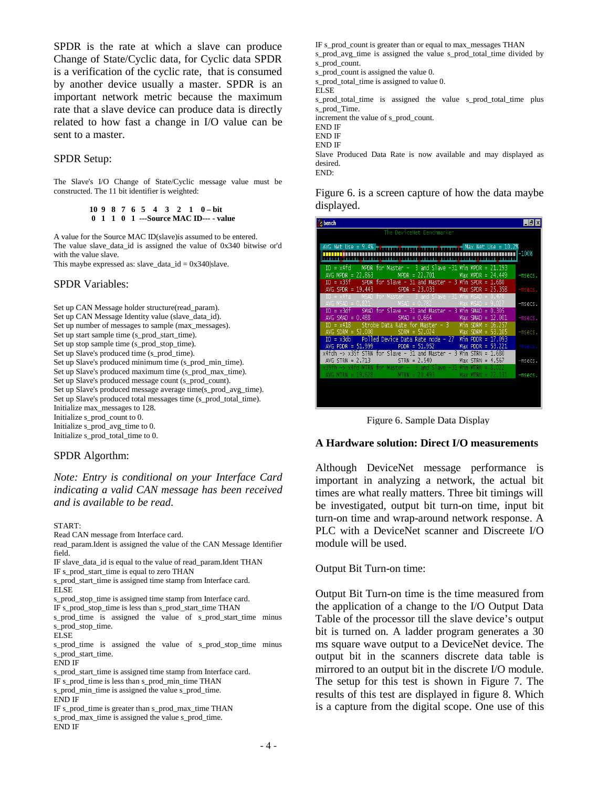SPDR is the rate at which a slave can produce Change of State/Cyclic data, for Cyclic data SPDR is a verification of the cyclic rate, that is consumed by another device usually a master. SPDR is an important network metric because the maximum rate that a slave device can produce data is directly related to how fast a change in I/O value can be sent to a master.

#### SPDR Setup:

The Slave's I/O Change of State/Cyclic message value must be constructed. The 11 bit identifier is weighted:

#### **10 9 8 7 6 5 4 3 2 1 0 – bit 0 1 1 0 1 ---Source MAC ID--- - value**

A value for the Source MAC ID(slave)is assumed to be entered. The value slave\_data\_id is assigned the value of 0x340 bitwise or'd with the value slave.

This maybe expressed as: slave\_data\_id =  $0x340$ |slave.

#### SPDR Variables:

Set up CAN Message holder structure(read\_param). Set up CAN Message Identity value (slave\_data\_id). Set up number of messages to sample (max\_messages). Set up start sample time (s\_prod\_start\_time). Set up stop sample time (s\_prod\_stop\_time). Set up Slave's produced time (s\_prod\_time). Set up Slave's produced minimum time (s\_prod\_min\_time). Set up Slave's produced maximum time (s\_prod\_max\_time). Set up Slave's produced message count (s\_prod\_count). Set up Slave's produced message average time(s\_prod\_avg\_time). Set up Slave's produced total messages time (s\_prod\_total\_time). Initialize max\_messages to 128. Initialize s\_prod\_count to 0. Initialize s\_prod\_avg\_time to 0. Initialize s\_prod\_total\_time to 0.

#### SPDR Algorthm:

*Note: Entry is conditional on your Interface Card indicating a valid CAN message has been received and is available to be read*.

#### START:

Read CAN message from Interface card.

- read\_param.Ident is assigned the value of the CAN Message Identifier field.
- IF slave\_data\_id is equal to the value of read\_param.Ident THAN IF s\_prod\_start\_time is equal to zero THAN

s\_prod\_start\_time is assigned time stamp from Interface card. ELSE

s\_prod\_stop\_time is assigned time stamp from Interface card.

IF s\_prod\_stop\_time is less than s\_prod\_start\_time THAN

s\_prod\_time is assigned the value of s\_prod\_start\_time minus s\_prod\_stop\_time. ELSE

s\_prod\_time is assigned the value of s\_prod\_stop\_time minus s\_prod\_start\_time.

END IF

s prod start time is assigned time stamp from Interface card.

- IF s\_prod\_time is less than s\_prod\_min\_time THAN
- s\_prod\_min\_time is assigned the value s\_prod\_time. END IF
- IF s\_prod\_time is greater than s\_prod\_max\_time THAN s\_prod\_max\_time is assigned the value s\_prod\_time. END IF

IF s\_prod\_count is greater than or equal to max\_messages THAN s\_prod\_avg\_time is assigned the value s\_prod\_total\_time divided by s\_prod\_count. s\_prod\_count is assigned the value 0. s\_prod\_total\_time is assigned to value 0. ELSE s\_prod\_total\_time is assigned the value s\_prod\_total\_time plus s\_prod\_Time. increment the value of s\_prod\_count. END IF END IF END IF Slave Produced Data Rate is now available and may displayed as desired. END:

Figure 6. is a screen capture of how the data maybe displayed.



Figure 6. Sample Data Display

#### **A Hardware solution: Direct I/O measurements**

Although DeviceNet message performance is important in analyzing a network, the actual bit times are what really matters. Three bit timings will be investigated, output bit turn-on time, input bit turn-on time and wrap-around network response. A PLC with a DeviceNet scanner and Discreete I/O module will be used.

Output Bit Turn-on time:

Output Bit Turn-on time is the time measured from the application of a change to the I/O Output Data Table of the processor till the slave device's output bit is turned on. A ladder program generates a 30 ms square wave output to a DeviceNet device. The output bit in the scanners discrete data table is mirrored to an output bit in the discrete I/O module. The setup for this test is shown in Figure 7. The results of this test are displayed in figure 8. Which is a capture from the digital scope. One use of this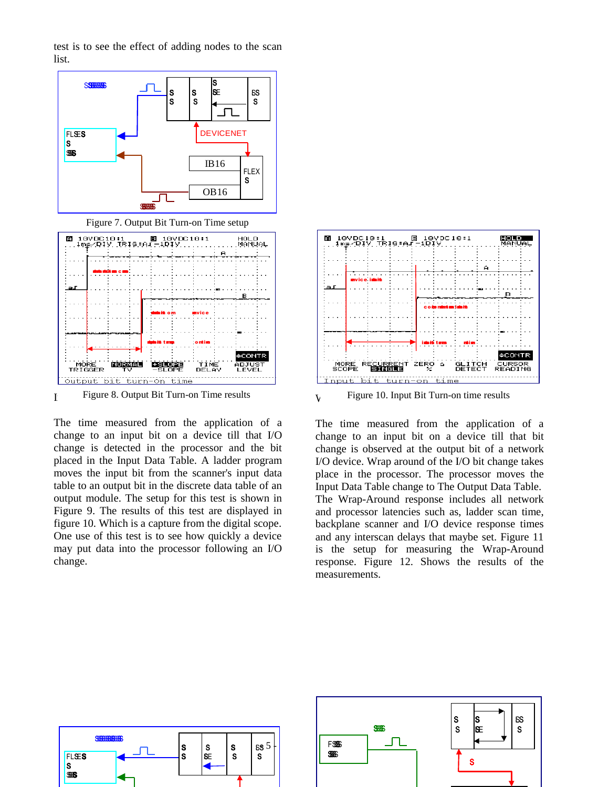test is to see the effect of adding nodes to the scan list.



Figure 7. Output Bit Turn-on Time setup



I Figure 8. Output Bit Turn-on Time results

The time measured from the application of a change to an input bit on a device till that I/O change is detected in the processor and the bit placed in the Input Data Table. A ladder program moves the input bit from the scanner's input data table to an output bit in the discrete data table of an output module. The setup for this test is shown in Figure 9. The results of this test are displayed in figure 10. Which is a capture from the digital scope. One use of this test is to see how quickly a device may put data into the processor following an I/O change.



 $\gamma$  Figure 10. Input Bit Turn-on time results

The time measured from the application of a change to an input bit on a device till that bit change is observed at the output bit of a network I/O device. Wrap around of the I/O bit change takes place in the processor. The processor moves the Input Data Table change to The Output Data Table. The Wrap-Around response includes all network and processor latencies such as, ladder scan time, backplane scanner and I/O device response times and any interscan delays that maybe set. Figure 11 is the setup for measuring the Wrap-Around response. Figure 12. Shows the results of the measurements.



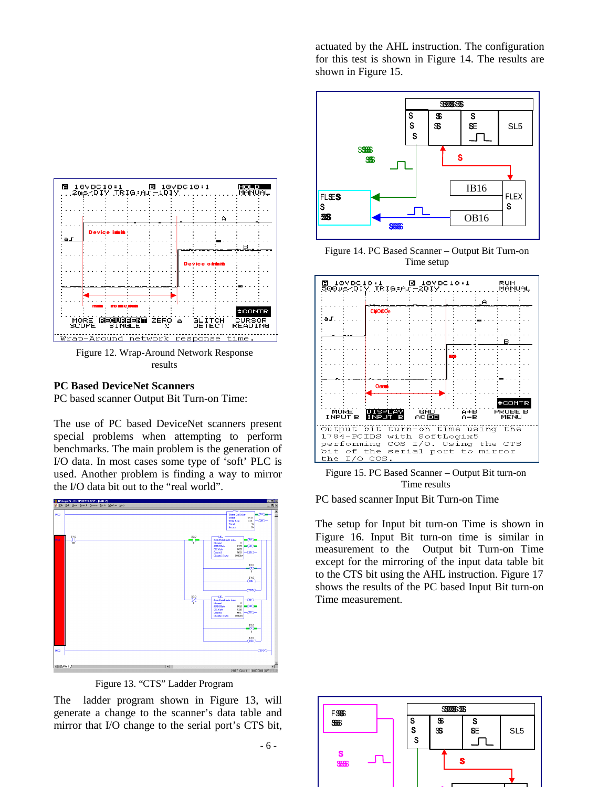

Figure 12. Wrap-Around Network Response results

#### **PC Based DeviceNet Scanners**

PC based scanner Output Bit Turn-on Time:

The use of PC based DeviceNet scanners present special problems when attempting to perform benchmarks. The main problem is the generation of I/O data. In most cases some type of 'soft' PLC is used. Another problem is finding a way to mirror the I/O data bit out to the "real world".



Figure 13. "CTS" Ladder Program

The ladder program shown in Figure 13, will generate a change to the scanner's data table and mirror that I/O change to the serial port's CTS bit,

-6-

actuated by the AHL instruction. The configuration for this test is shown in Figure 14. The results are shown in Figure 15.



Figure 14. PC Based Scanner – Output Bit Turn-on Time setup



Figure 15. PC Based Scanner – Output Bit turn-on Time results

PC based scanner Input Bit Turn-on Time

The setup for Input bit turn-on Time is shown in Figure 16. Input Bit turn-on time is similar in measurement to the Output bit Turn-on Time except for the mirroring of the input data table bit to the CTS bit using the AHL instruction. Figure 17 shows the results of the PC based Input Bit turn-on Time measurement.

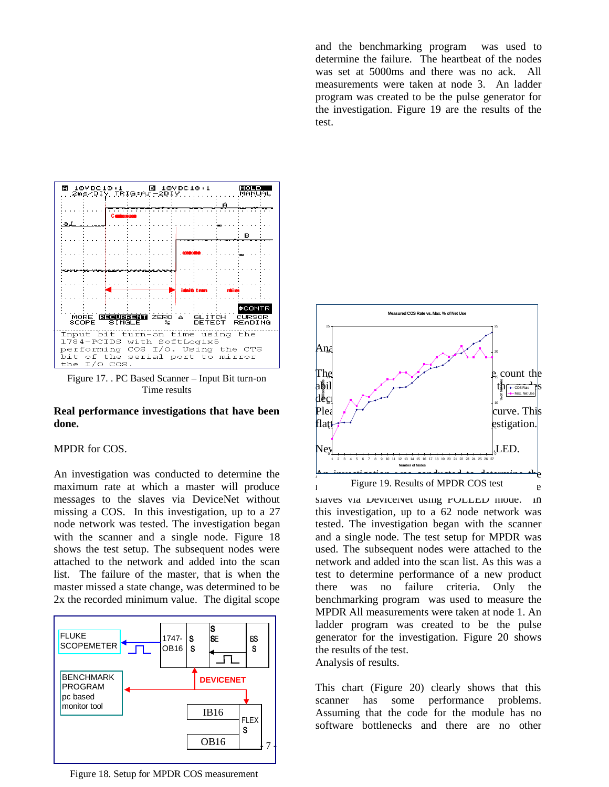and the benchmarking program was used to determine the failure. The heartbeat of the nodes was set at 5000ms and there was no ack. All measurements were taken at node 3. An ladder program was created to be the pulse generator for the investigation. Figure 19 are the results of the test.



Figure 17. . PC Based Scanner – Input Bit turn-on Time results

#### **Real performance investigations that have been done.**

# MPDR for COS.

An investigation was conducted to determine the maximum rate at which a master will produce messages to the slaves via DeviceNet without missing a COS. In this investigation, up to a 27 node network was tested. The investigation began with the scanner and a single node. Figure 18 shows the test setup. The subsequent nodes were attached to the network and added into the scan list. The failure of the master, that is when the master missed a state change, was determined to be 2x the recorded minimum value. The digital scope



Figure 18. Setup for MPDR COS measurement



slaves via Devicenet using POLLED mode. In this investigation, up to a 62 node network was tested. The investigation began with the scanner and a single node. The test setup for MPDR was used. The subsequent nodes were attached to the network and added into the scan list. As this was a test to determine performance of a new product there was no failure criteria. Only the benchmarking program was used to measure the MPDR All measurements were taken at node 1. An ladder program was created to be the pulse generator for the investigation. Figure 20 shows the results of the test. Analysis of results.

This chart (Figure 20) clearly shows that this scanner has some performance problems. Assuming that the code for the module has no software bottlenecks and there are no other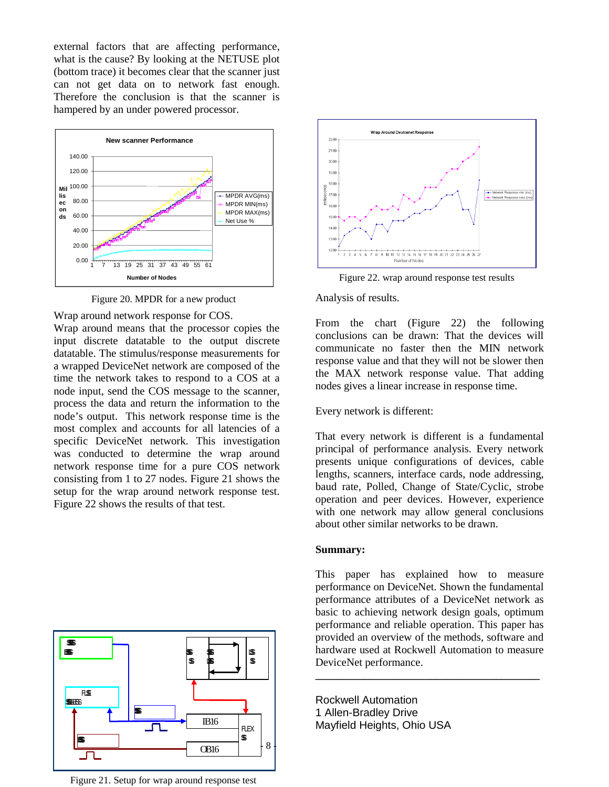external factors that are affecting performance, what is the cause? By looking at the NETUSE plot (bottom trace) it becomes clear that the scanner just can not get data on to network fast enough. Therefore the conclusion is that the scanner is hampered by an under powered processor.



Figure 20. MPDR for a new product

Wrap around network response for COS.

Wrap around means that the processor copies the input discrete datatable to the output discrete datatable. The stimulus/response measurements for a wrapped DeviceNet network are composed of the time the network takes to respond to a COS at a node input, send the COS message to the scanner, process the data and return the information to the node's output. This network response time is the most complex and accounts for all latencies of a specific DeviceNet network. This investigation was conducted to determine the wrap around network response time for a pure COS network consisting from 1 to 27 nodes. Figure 21 shows the setup for the wrap around network response test. Figure 22 shows the results of that test.



Figure 21. Setup for wrap around response test



Figure 22. wrap around response test results

Analysis of results.

From the chart (Figure 22) the following conclusions can be drawn: That the devices will communicate no faster then the MIN network response value and that they will not be slower then the MAX network response value. That adding nodes gives a linear increase in response time.

Every network is different:

That every network is different is a fundamental principal of performance analysis. Every network presents unique configurations of devices, cable lengths, scanners, interface cards, node addressing, baud rate, Polled, Change of State/Cyclic, strobe operation and peer devices. However, experience with one network may allow general conclusions about other similar networks to be drawn.

#### **Summary:**

This paper has explained how to measure performance on DeviceNet. Shown the fundamental performance attributes of a DeviceNet network as basic to achieving network design goals, optimum performance and reliable operation. This paper has provided an overview of the methods, software and hardware used at Rockwell Automation to measure DeviceNet performance.

**\_\_\_\_\_\_\_\_\_\_\_\_\_\_\_\_\_\_\_\_\_\_\_\_\_\_\_\_\_\_\_\_\_\_\_\_\_\_\_\_\_**

Rockwell Automation 1 Allen-Bradley Drive Mayfield Heights, Ohio USA